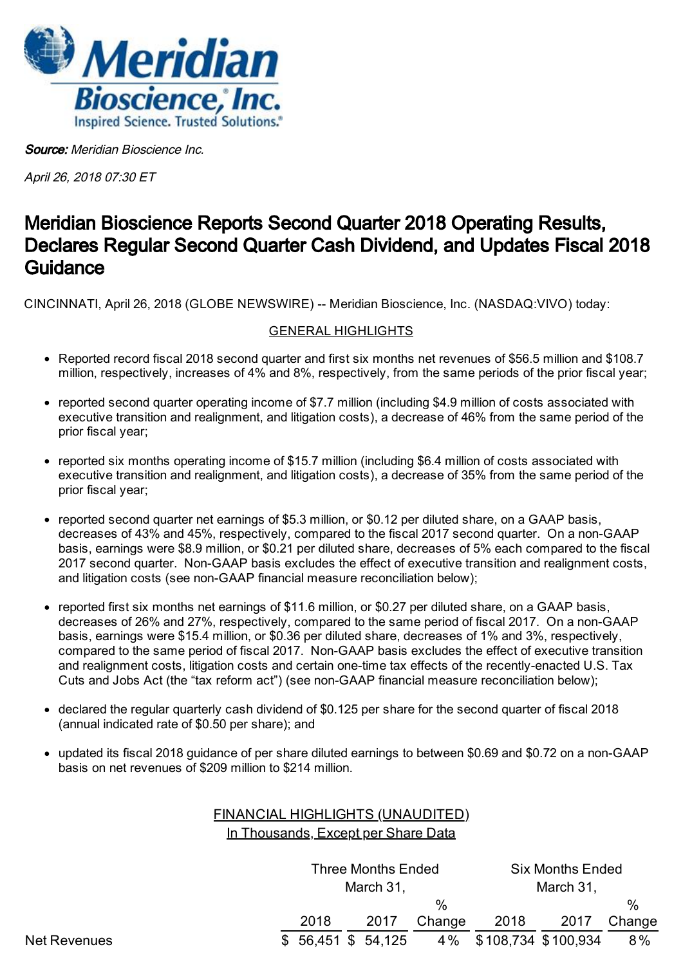

Source: Meridian Bioscience Inc.

April 26, 2018 07:30 ET

# Meridian Bioscience Reports Second Quarter 2018 Operating Results, Declares Regular Second Quarter Cash Dividend, and Updates Fiscal 2018 **Guidance**

CINCINNATI, April 26, 2018 (GLOBE NEWSWIRE) -- Meridian Bioscience, Inc. (NASDAQ:VIVO) today:

# GENERAL HIGHLIGHTS

- Reported record fiscal 2018 second quarter and first six months net revenues of \$56.5 million and \$108.7 million, respectively, increases of 4% and 8%, respectively, from the same periods of the prior fiscal year;
- reported second quarter operating income of \$7.7 million (including \$4.9 million of costs associated with executive transition and realignment, and litigation costs), a decrease of 46% from the same period of the prior fiscal year;
- reported six months operating income of \$15.7 million (including \$6.4 million of costs associated with executive transition and realignment, and litigation costs), a decrease of 35% from the same period of the prior fiscal year;
- reported second quarter net earnings of \$5.3 million, or \$0.12 per diluted share, on a GAAP basis, decreases of 43% and 45%, respectively, compared to the fiscal 2017 second quarter. On a non-GAAP basis, earnings were \$8.9 million, or \$0.21 per diluted share, decreases of 5% each compared to the fiscal 2017 second quarter. Non-GAAP basis excludes the effect of executive transition and realignment costs, and litigation costs (see non-GAAP financial measure reconciliation below);
- reported first six months net earnings of \$11.6 million, or \$0.27 per diluted share, on a GAAP basis, decreases of 26% and 27%, respectively, compared to the same period of fiscal 2017. On a non-GAAP basis, earnings were \$15.4 million, or \$0.36 per diluted share, decreases of 1% and 3%, respectively, compared to the same period of fiscal 2017. Non-GAAP basis excludes the effect of executive transition and realignment costs, litigation costs and certain one-time tax effects of the recently-enacted U.S. Tax Cuts and Jobs Act (the "tax reform act") (see non-GAAP financial measure reconciliation below);
- declared the regular quarterly cash dividend of \$0.125 per share for the second quarter of fiscal 2018 (annual indicated rate of \$0.50 per share); and
- updated its fiscal 2018 guidance of per share diluted earnings to between \$0.69 and \$0.72 on a non-GAAP basis on net revenues of \$209 million to \$214 million.

# FINANCIAL HIGHLIGHTS (UNAUDITED) In Thousands, Except per Share Data

|                     |      | <b>Three Months Ended</b> |        | <b>Six Months Ended</b> |      |        |  |  |  |
|---------------------|------|---------------------------|--------|-------------------------|------|--------|--|--|--|
|                     |      | March 31,                 |        | March 31                |      |        |  |  |  |
|                     |      |                           | %      |                         |      | $\%$   |  |  |  |
|                     | 2018 | 2017                      | Change | 2018                    | 2017 | Change |  |  |  |
| <b>Net Revenues</b> |      | $$56,451$ $$54,125$       |        | 4% \$108,734 \$100,934  |      | 8%     |  |  |  |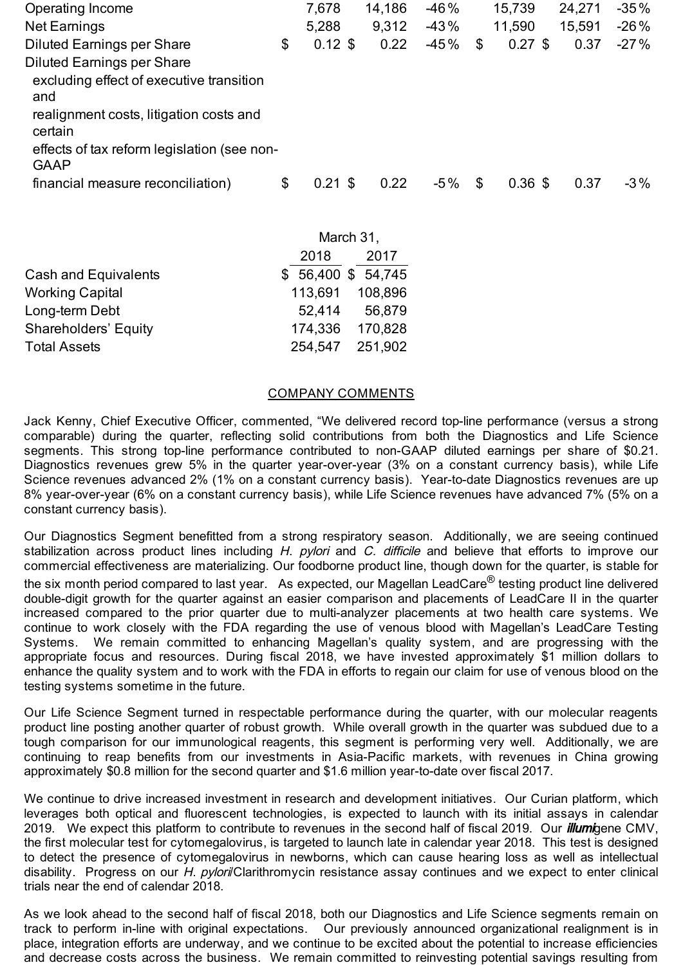| Operating Income                                   | 7,678           | 14,186 | $-46%$ | 15,739          | 24,271 | $-35%$ |
|----------------------------------------------------|-----------------|--------|--------|-----------------|--------|--------|
| Net Earnings                                       | 5,288           | 9,312  | $-43%$ | 11,590          | 15,591 | $-26%$ |
| <b>Diluted Earnings per Share</b>                  | \$<br>0.12S     | 0.22   | $-45%$ | \$<br>$0.27$ \$ | 0.37   | $-27%$ |
| Diluted Earnings per Share                         |                 |        |        |                 |        |        |
| excluding effect of executive transition           |                 |        |        |                 |        |        |
| and                                                |                 |        |        |                 |        |        |
| realignment costs, litigation costs and<br>certain |                 |        |        |                 |        |        |
| effects of tax reform legislation (see non-        |                 |        |        |                 |        |        |
| <b>GAAP</b>                                        |                 |        |        |                 |        |        |
| financial measure reconciliation)                  | \$<br>$0.21$ \$ | 0.22   | $-5\%$ | \$<br>$0.36$ \$ | 0.37   | $-3\%$ |
|                                                    |                 |        |        |                 |        |        |

|                             | March 31,           |         |  |  |  |  |  |  |
|-----------------------------|---------------------|---------|--|--|--|--|--|--|
|                             | 2018                | 2017    |  |  |  |  |  |  |
| Cash and Equivalents        | $$56,400$ $$54,745$ |         |  |  |  |  |  |  |
| <b>Working Capital</b>      | 113,691             | 108,896 |  |  |  |  |  |  |
| Long-term Debt              | 52,414              | 56,879  |  |  |  |  |  |  |
| <b>Shareholders' Equity</b> | 174,336             | 170,828 |  |  |  |  |  |  |
| <b>Total Assets</b>         | 254,547             | 251,902 |  |  |  |  |  |  |

#### COMPANY COMMENTS

Jack Kenny, Chief Executive Officer, commented, "We delivered record top-line performance (versus a strong comparable) during the quarter, reflecting solid contributions from both the Diagnostics and Life Science segments. This strong top-line performance contributed to non-GAAP diluted earnings per share of \$0.21. Diagnostics revenues grew 5% in the quarter year-over-year (3% on a constant currency basis), while Life Science revenues advanced 2% (1% on a constant currency basis). Year-to-date Diagnostics revenues are up 8% year-over-year (6% on a constant currency basis), while Life Science revenues have advanced 7% (5% on a constant currency basis).

Our Diagnostics Segment benefitted from a strong respiratory season. Additionally, we are seeing continued stabilization across product lines including H. pylori and C. difficile and believe that efforts to improve our commercial effectiveness are materializing. Our foodborne product line, though down for the quarter, is stable for the six month period compared to last year. As expected, our Magellan LeadCare<sup>®</sup> testing product line delivered double-digit growth for the quarter against an easier comparison and placements of LeadCare II in the quarter increased compared to the prior quarter due to multi-analyzer placements at two health care systems. We continue to work closely with the FDA regarding the use of venous blood with Magellan's LeadCare Testing Systems. We remain committed to enhancing Magellan's quality system, and are progressing with the appropriate focus and resources. During fiscal 2018, we have invested approximately \$1 million dollars to enhance the quality system and to work with the FDA in efforts to regain our claim for use of venous blood on the testing systems sometime in the future.

Our Life Science Segment turned in respectable performance during the quarter, with our molecular reagents product line posting another quarter of robust growth. While overall growth in the quarter was subdued due to a tough comparison for our immunological reagents, this segment is performing very well. Additionally, we are continuing to reap benefits from our investments in Asia-Pacific markets, with revenues in China growing approximately \$0.8 million for the second quarter and \$1.6 million year-to-date over fiscal 2017.

We continue to drive increased investment in research and development initiatives. Our Curian platform, which leverages both optical and fluorescent technologies, is expected to launch with its initial assays in calendar 2019. We expect this platform to contribute to revenues in the second half of fiscal 2019. Our *illumi*gene CMV, the first molecular test for cytomegalovirus, is targeted to launch late in calendar year 2018. This test is designed to detect the presence of cytomegalovirus in newborns, which can cause hearing loss as well as intellectual disability. Progress on our H. pylori/Clarithromycin resistance assay continues and we expect to enter clinical trials near the end of calendar 2018.

As we look ahead to the second half of fiscal 2018, both our Diagnostics and Life Science segments remain on track to perform in-line with original expectations. Our previously announced organizational realignment is in place, integration efforts are underway, and we continue to be excited about the potential to increase efficiencies and decrease costs across the business. We remain committed to reinvesting potential savings resulting from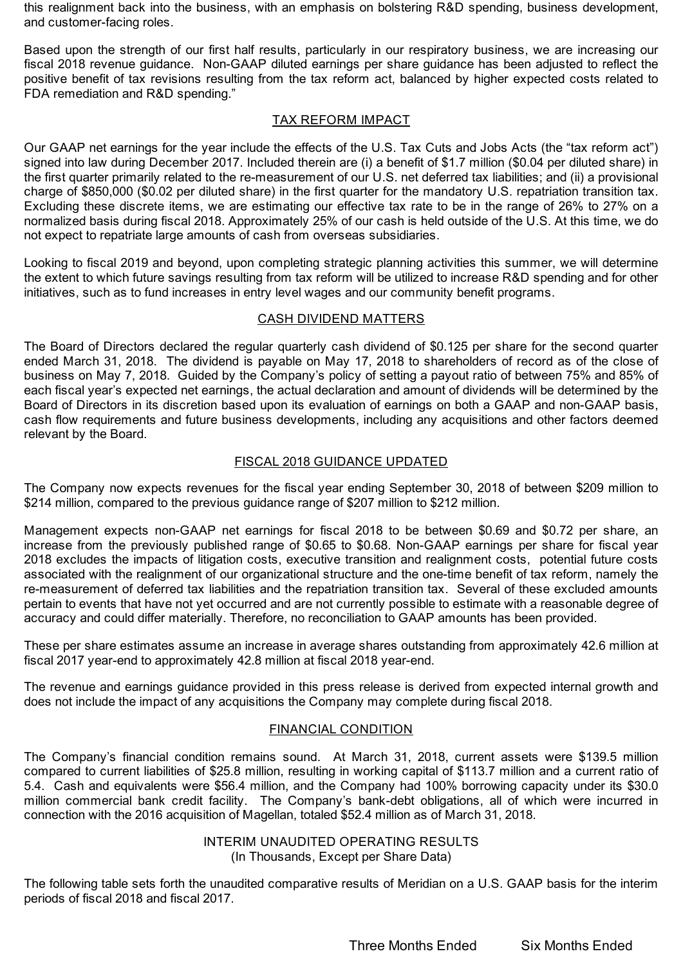this realignment back into the business, with an emphasis on bolstering R&D spending, business development, and customer-facing roles.

Based upon the strength of our first half results, particularly in our respiratory business, we are increasing our fiscal 2018 revenue guidance. Non-GAAP diluted earnings per share guidance has been adjusted to reflect the positive benefit of tax revisions resulting from the tax reform act, balanced by higher expected costs related to FDA remediation and R&D spending."

### TAX REFORM IMPACT

Our GAAP net earnings for the year include the effects of the U.S. Tax Cuts and Jobs Acts (the "tax reform act") signed into law during December 2017. Included therein are (i) a benefit of \$1.7 million (\$0.04 per diluted share) in the first quarter primarily related to the re-measurement of our U.S. net deferred tax liabilities; and (ii) a provisional charge of \$850,000 (\$0.02 per diluted share) in the first quarter for the mandatory U.S. repatriation transition tax. Excluding these discrete items, we are estimating our effective tax rate to be in the range of 26% to 27% on a normalized basis during fiscal 2018. Approximately 25% of our cash is held outside of the U.S. At this time, we do not expect to repatriate large amounts of cash from overseas subsidiaries.

Looking to fiscal 2019 and beyond, upon completing strategic planning activities this summer, we will determine the extent to which future savings resulting from tax reform will be utilized to increase R&D spending and for other initiatives, such as to fund increases in entry level wages and our community benefit programs.

### CASH DIVIDEND MATTERS

The Board of Directors declared the regular quarterly cash dividend of \$0.125 per share for the second quarter ended March 31, 2018. The dividend is payable on May 17, 2018 to shareholders of record as of the close of business on May 7, 2018. Guided by the Company's policy of setting a payout ratio of between 75% and 85% of each fiscal year's expected net earnings, the actual declaration and amount of dividends will be determined by the Board of Directors in its discretion based upon its evaluation of earnings on both a GAAP and non-GAAP basis, cash flow requirements and future business developments, including any acquisitions and other factors deemed relevant by the Board.

## FISCAL 2018 GUIDANCE UPDATED

The Company now expects revenues for the fiscal year ending September 30, 2018 of between \$209 million to \$214 million, compared to the previous guidance range of \$207 million to \$212 million.

Management expects non-GAAP net earnings for fiscal 2018 to be between \$0.69 and \$0.72 per share, an increase from the previously published range of \$0.65 to \$0.68. Non-GAAP earnings per share for fiscal year 2018 excludes the impacts of litigation costs, executive transition and realignment costs, potential future costs associated with the realignment of our organizational structure and the one-time benefit of tax reform, namely the re-measurement of deferred tax liabilities and the repatriation transition tax. Several of these excluded amounts pertain to events that have not yet occurred and are not currently possible to estimate with a reasonable degree of accuracy and could differ materially. Therefore, no reconciliation to GAAP amounts has been provided.

These per share estimates assume an increase in average shares outstanding from approximately 42.6 million at fiscal 2017 year-end to approximately 42.8 million at fiscal 2018 year-end.

The revenue and earnings guidance provided in this press release is derived from expected internal growth and does not include the impact of any acquisitions the Company may complete during fiscal 2018.

#### FINANCIAL CONDITION

The Company's financial condition remains sound. At March 31, 2018, current assets were \$139.5 million compared to current liabilities of \$25.8 million, resulting in working capital of \$113.7 million and a current ratio of 5.4. Cash and equivalents were \$56.4 million, and the Company had 100% borrowing capacity under its \$30.0 million commercial bank credit facility. The Company's bank-debt obligations, all of which were incurred in connection with the 2016 acquisition of Magellan, totaled \$52.4 million as of March 31, 2018.

#### INTERIM UNAUDITED OPERATING RESULTS (In Thousands, Except per Share Data)

The following table sets forth the unaudited comparative results of Meridian on a U.S. GAAP basis for the interim periods of fiscal 2018 and fiscal 2017.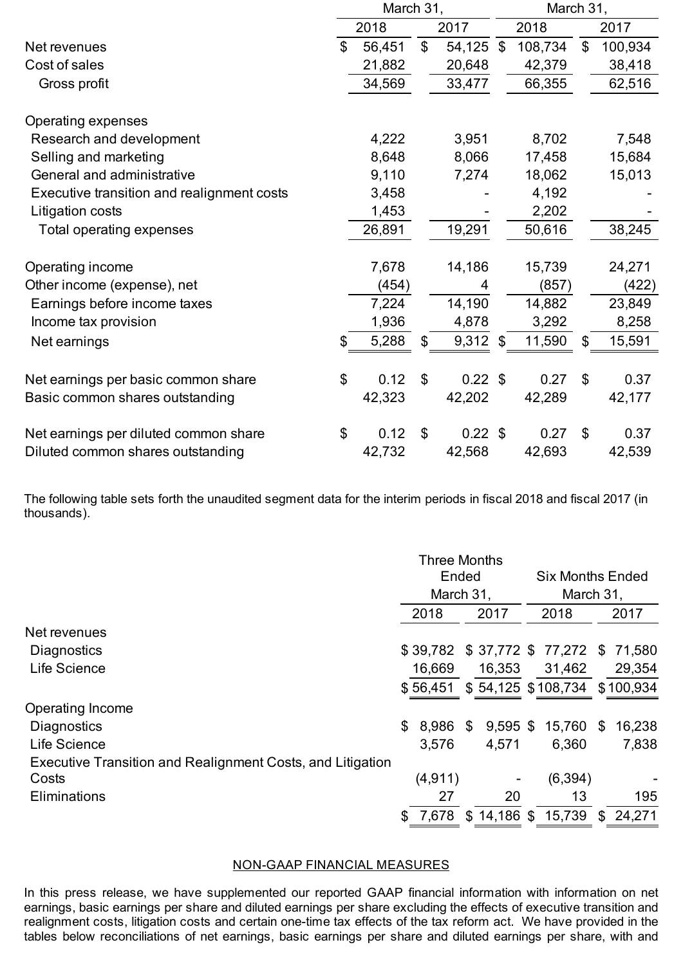|                                            |    | March 31, |               |           | March 31,                  |         |       |         |  |  |  |
|--------------------------------------------|----|-----------|---------------|-----------|----------------------------|---------|-------|---------|--|--|--|
|                                            |    | 2018      |               | 2017      |                            | 2018    |       | 2017    |  |  |  |
| Net revenues                               | \$ | 56,451    | \$            | 54,125    | $\boldsymbol{\mathcal{L}}$ | 108,734 | $\$\$ | 100,934 |  |  |  |
| Cost of sales                              |    | 21,882    |               | 20,648    |                            | 42,379  |       | 38,418  |  |  |  |
| Gross profit                               |    | 34,569    |               | 33,477    |                            | 66,355  |       | 62,516  |  |  |  |
| Operating expenses                         |    |           |               |           |                            |         |       |         |  |  |  |
| Research and development                   |    | 4,222     |               | 3,951     |                            | 8,702   |       | 7,548   |  |  |  |
| Selling and marketing                      |    | 8,648     |               | 8,066     |                            | 17,458  |       | 15,684  |  |  |  |
| General and administrative                 |    | 9,110     |               | 7,274     |                            | 18,062  |       | 15,013  |  |  |  |
| Executive transition and realignment costs |    | 3,458     |               |           |                            | 4,192   |       |         |  |  |  |
| Litigation costs                           |    | 1,453     |               |           |                            | 2,202   |       |         |  |  |  |
| Total operating expenses                   |    | 26,891    |               | 19,291    |                            | 50,616  |       | 38,245  |  |  |  |
| Operating income                           |    | 7,678     |               | 14,186    |                            | 15,739  |       | 24,271  |  |  |  |
| Other income (expense), net                |    | (454)     |               | 4         |                            | (857)   |       | (422)   |  |  |  |
| Earnings before income taxes               |    | 7,224     |               | 14,190    |                            | 14,882  |       | 23,849  |  |  |  |
| Income tax provision                       |    | 1,936     |               | 4,878     |                            | 3,292   |       | 8,258   |  |  |  |
| Net earnings                               | S  | 5,288     | \$.           | 9,312     | \$                         | 11,590  | \$    | 15,591  |  |  |  |
| Net earnings per basic common share        | \$ | 0.12      | $\mathbb{S}$  | $0.22$ \$ |                            | 0.27    | \$    | 0.37    |  |  |  |
| Basic common shares outstanding            |    | 42,323    |               | 42,202    |                            | 42,289  |       | 42,177  |  |  |  |
| Net earnings per diluted common share      | \$ | 0.12      | $\mathcal{L}$ | $0.22$ \$ |                            | 0.27    | \$    | 0.37    |  |  |  |
| Diluted common shares outstanding          |    | 42,732    |               | 42,568    |                            | 42,693  |       | 42,539  |  |  |  |

The following table sets forth the unaudited segment data for the interim periods in fiscal 2018 and fiscal 2017 (in thousands).

|                                                            | <b>Three Months</b> |          |    |                         |           |                              |    |          |  |
|------------------------------------------------------------|---------------------|----------|----|-------------------------|-----------|------------------------------|----|----------|--|
|                                                            | Ended               |          |    | <b>Six Months Ended</b> |           |                              |    |          |  |
|                                                            | March 31,           |          |    |                         | March 31, |                              |    |          |  |
|                                                            | 2018<br>2017        |          |    |                         | 2018      | 2017                         |    |          |  |
| Net revenues                                               |                     |          |    |                         |           |                              |    |          |  |
| Diagnostics                                                |                     | \$39,782 |    | $$37,772$ \$            |           | 77,272                       | S. | 71,580   |  |
| Life Science                                               |                     | 16,669   |    | 16,353                  |           | 31,462                       |    | 29,354   |  |
|                                                            |                     | \$56,451 |    |                         |           | \$54,125 \$108,734 \$100,934 |    |          |  |
| Operating Income                                           |                     |          |    |                         |           |                              |    |          |  |
| Diagnostics                                                | \$                  | 8,986    | \$ | $9,595$ \$              |           | 15,760                       | \$ | 16,238   |  |
| Life Science                                               |                     | 3,576    |    | 4,571                   |           | 6,360                        |    | 7,838    |  |
| Executive Transition and Realignment Costs, and Litigation |                     |          |    |                         |           |                              |    |          |  |
| Costs                                                      |                     | (4, 911) |    |                         |           | (6, 394)                     |    |          |  |
| Eliminations                                               |                     | 27       |    | 20                      |           | 13                           |    | 195      |  |
|                                                            | \$                  | 7,678    |    | $$14,186$ \$            |           | 15,739                       |    | \$24,271 |  |

#### NON-GAAP FINANCIAL MEASURES

In this press release, we have supplemented our reported GAAP financial information with information on net earnings, basic earnings per share and diluted earnings per share excluding the effects of executive transition and realignment costs, litigation costs and certain one-time tax effects of the tax reform act. We have provided in the tables below reconciliations of net earnings, basic earnings per share and diluted earnings per share, with and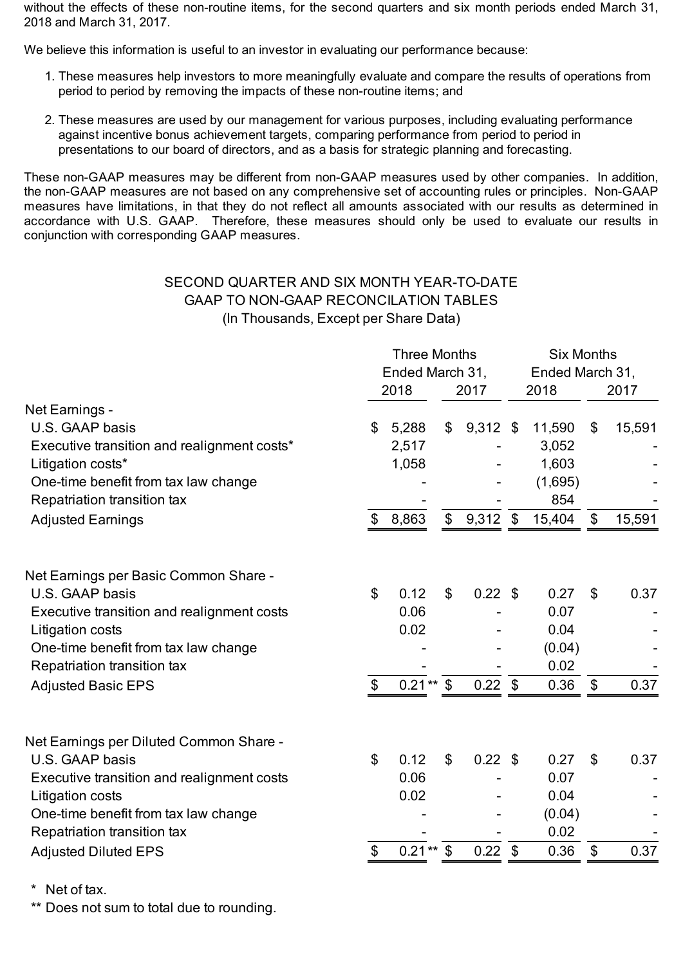without the effects of these non-routine items, for the second quarters and six month periods ended March 31, 2018 and March 31, 2017.

We believe this information is useful to an investor in evaluating our performance because:

- 1. These measures help investors to more meaningfully evaluate and compare the results of operations from period to period by removing the impacts of these non-routine items; and
- 2. These measures are used by our management for various purposes, including evaluating performance against incentive bonus achievement targets, comparing performance from period to period in presentations to our board of directors, and as a basis for strategic planning and forecasting.

These non-GAAP measures may be different from non-GAAP measures used by other companies. In addition, the non-GAAP measures are not based on any comprehensive set of accounting rules or principles. Non-GAAP measures have limitations, in that they do not reflect all amounts associated with our results as determined in accordance with U.S. GAAP. Therefore, these measures should only be used to evaluate our results in conjunction with corresponding GAAP measures.

# SECOND QUARTER AND SIX MONTH YEAR-TO-DATE GAAP TO NON-GAAP RECONCILATION TABLES (In Thousands, Except per Share Data)

|                                             |               | <b>Three Months</b> |                |            | <b>Six Months</b> |                 |                           |        |  |
|---------------------------------------------|---------------|---------------------|----------------|------------|-------------------|-----------------|---------------------------|--------|--|
|                                             |               | Ended March 31,     |                |            |                   | Ended March 31, |                           |        |  |
|                                             |               | 2018                | 2017           |            |                   | 2018            |                           | 2017   |  |
| Net Earnings -                              |               |                     |                |            |                   |                 |                           |        |  |
| U.S. GAAP basis                             | \$            | 5,288               | $\mathfrak{F}$ | $9,312$ \$ |                   | 11,590          | $\$\$                     | 15,591 |  |
| Executive transition and realignment costs* |               | 2,517               |                |            |                   | 3,052           |                           |        |  |
| Litigation costs*                           |               | 1,058               |                |            |                   | 1,603           |                           |        |  |
| One-time benefit from tax law change        |               |                     |                |            |                   | (1,695)         |                           |        |  |
| Repatriation transition tax                 |               |                     |                |            |                   | 854             |                           |        |  |
| <b>Adjusted Earnings</b>                    | $\mathcal{S}$ | 8,863               | \$             | $9,312$ \$ |                   | 15,404          | $\mathfrak{F}$            | 15,591 |  |
| Net Earnings per Basic Common Share -       |               |                     |                |            |                   |                 |                           |        |  |
| U.S. GAAP basis                             | \$            | 0.12                | $\mathbb{S}$   | $0.22$ \$  |                   | 0.27            | $\mathfrak{L}$            | 0.37   |  |
| Executive transition and realignment costs  |               | 0.06                |                |            |                   | 0.07            |                           |        |  |
| Litigation costs                            |               | 0.02                |                |            |                   | 0.04            |                           |        |  |
| One-time benefit from tax law change        |               |                     |                |            |                   | (0.04)          |                           |        |  |
| Repatriation transition tax                 |               |                     |                |            |                   | 0.02            |                           |        |  |
| <b>Adjusted Basic EPS</b>                   | $\mathbf{\$}$ | $0.21**$ \$         |                | $0.22$ \$  |                   | 0.36            | $\boldsymbol{\mathsf{S}}$ | 0.37   |  |
|                                             |               |                     |                |            |                   |                 |                           |        |  |
| Net Earnings per Diluted Common Share -     |               |                     |                |            |                   |                 |                           |        |  |
| U.S. GAAP basis                             | $\mathbb{S}$  | 0.12                | $\mathcal{L}$  | $0.22$ \$  |                   | 0.27            | $\mathcal{L}$             | 0.37   |  |
| Executive transition and realignment costs  |               | 0.06                |                |            |                   | 0.07            |                           |        |  |
| Litigation costs                            |               | 0.02                |                |            |                   | 0.04            |                           |        |  |
| One-time benefit from tax law change        |               |                     |                |            |                   | (0.04)          |                           |        |  |
| Repatriation transition tax                 |               |                     |                |            |                   | 0.02            |                           |        |  |
| <b>Adjusted Diluted EPS</b>                 | \$            | $0.21**$ \$         |                | $0.22$ \$  |                   | 0.36            | $\boldsymbol{\mathsf{S}}$ | 0.37   |  |
|                                             |               |                     |                |            |                   |                 |                           |        |  |

\* Net of tax.

\*\* Does not sum to total due to rounding.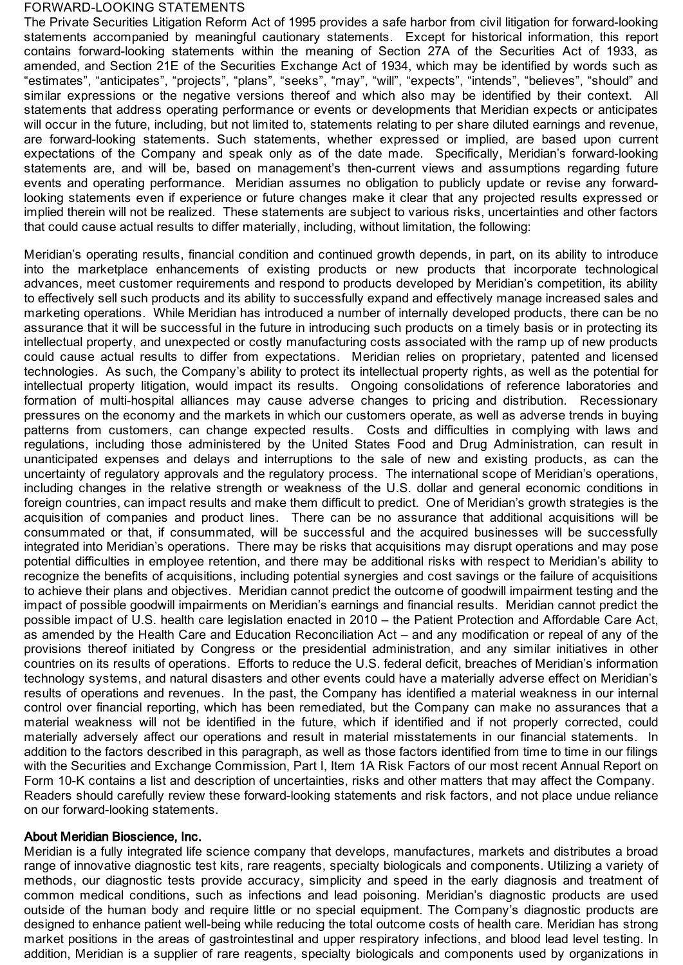#### FORWARD-LOOKING STATEMENTS

The Private Securities Litigation Reform Act of 1995 provides a safe harbor from civil litigation for forward-looking statements accompanied by meaningful cautionary statements. Except for historical information, this report contains forward-looking statements within the meaning of Section 27A of the Securities Act of 1933, as amended, and Section 21E of the Securities Exchange Act of 1934, which may be identified by words such as "estimates", "anticipates", "projects", "plans", "seeks", "may", "will", "expects", "intends", "believes", "should" and similar expressions or the negative versions thereof and which also may be identified by their context. All statements that address operating performance or events or developments that Meridian expects or anticipates will occur in the future, including, but not limited to, statements relating to per share diluted earnings and revenue, are forward-looking statements. Such statements, whether expressed or implied, are based upon current expectations of the Company and speak only as of the date made. Specifically, Meridian's forward-looking statements are, and will be, based on management's then-current views and assumptions regarding future events and operating performance. Meridian assumes no obligation to publicly update or revise any forwardlooking statements even if experience or future changes make it clear that any projected results expressed or implied therein will not be realized. These statements are subject to various risks, uncertainties and other factors that could cause actual results to differ materially, including, without limitation, the following:

Meridian's operating results, financial condition and continued growth depends, in part, on its ability to introduce into the marketplace enhancements of existing products or new products that incorporate technological advances, meet customer requirements and respond to products developed by Meridian's competition, its ability to effectively sell such products and its ability to successfully expand and effectively manage increased sales and marketing operations. While Meridian has introduced a number of internally developed products, there can be no assurance that it will be successful in the future in introducing such products on a timely basis or in protecting its intellectual property, and unexpected or costly manufacturing costs associated with the ramp up of new products could cause actual results to differ from expectations. Meridian relies on proprietary, patented and licensed technologies. As such, the Company's ability to protect its intellectual property rights, as well as the potential for intellectual property litigation, would impact its results. Ongoing consolidations of reference laboratories and formation of multi-hospital alliances may cause adverse changes to pricing and distribution. Recessionary pressures on the economy and the markets in which our customers operate, as well as adverse trends in buying patterns from customers, can change expected results. Costs and difficulties in complying with laws and regulations, including those administered by the United States Food and Drug Administration, can result in unanticipated expenses and delays and interruptions to the sale of new and existing products, as can the uncertainty of regulatory approvals and the regulatory process. The international scope of Meridian's operations, including changes in the relative strength or weakness of the U.S. dollar and general economic conditions in foreign countries, can impact results and make them difficult to predict. One of Meridian's growth strategies is the acquisition of companies and product lines. There can be no assurance that additional acquisitions will be consummated or that, if consummated, will be successful and the acquired businesses will be successfully integrated into Meridian's operations. There may be risks that acquisitions may disrupt operations and may pose potential difficulties in employee retention, and there may be additional risks with respect to Meridian's ability to recognize the benefits of acquisitions, including potential synergies and cost savings or the failure of acquisitions to achieve their plans and objectives. Meridian cannot predict the outcome of goodwill impairment testing and the impact of possible goodwill impairments on Meridian's earnings and financial results. Meridian cannot predict the possible impact of U.S. health care legislation enacted in 2010 – the Patient Protection and Affordable Care Act, as amended by the Health Care and Education Reconciliation Act – and any modification or repeal of any of the provisions thereof initiated by Congress or the presidential administration, and any similar initiatives in other countries on its results of operations. Efforts to reduce the U.S. federal deficit, breaches of Meridian's information technology systems, and natural disasters and other events could have a materially adverse effect on Meridian's results of operations and revenues. In the past, the Company has identified a material weakness in our internal control over financial reporting, which has been remediated, but the Company can make no assurances that a material weakness will not be identified in the future, which if identified and if not properly corrected, could materially adversely affect our operations and result in material misstatements in our financial statements. In addition to the factors described in this paragraph, as well as those factors identified from time to time in our filings with the Securities and Exchange Commission, Part I, Item 1A Risk Factors of our most recent Annual Report on Form 10-K contains a list and description of uncertainties, risks and other matters that may affect the Company. Readers should carefully review these forward-looking statements and risk factors, and not place undue reliance on our forward-looking statements.

## About Meridian Bioscience, Inc.

Meridian is a fully integrated life science company that develops, manufactures, markets and distributes a broad range of innovative diagnostic test kits, rare reagents, specialty biologicals and components. Utilizing a variety of methods, our diagnostic tests provide accuracy, simplicity and speed in the early diagnosis and treatment of common medical conditions, such as infections and lead poisoning. Meridian's diagnostic products are used outside of the human body and require little or no special equipment. The Company's diagnostic products are designed to enhance patient well-being while reducing the total outcome costs of health care. Meridian has strong market positions in the areas of gastrointestinal and upper respiratory infections, and blood lead level testing. In addition, Meridian is a supplier of rare reagents, specialty biologicals and components used by organizations in